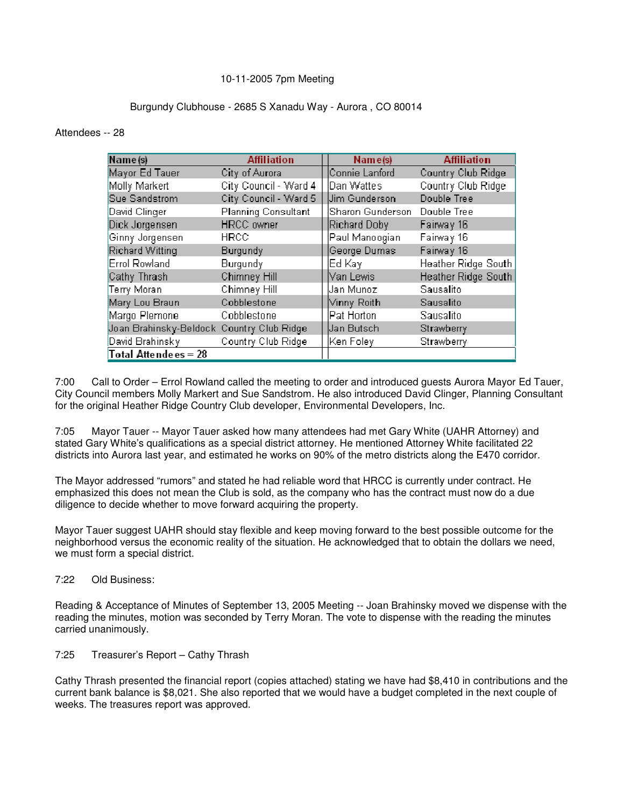# 10-11-2005 7pm Meeting

# Burgundy Clubhouse - 2685 S Xanadu Way - Aurora , CO 80014

#### Attendees -- 28

| Name (s)                                   | <b>Affiliation</b>         | Name(s)          | <b>Affiliation</b>         |  |
|--------------------------------------------|----------------------------|------------------|----------------------------|--|
| Mayor Ed Tauer                             | City of Aurora             | Connie Lanford   | Country Club Ridge         |  |
| Molly Markert                              | City Council - Ward 4      | Dan Wattes       | Country Club Ridge         |  |
| Sue Sandstrom                              | City Council - Ward 5      | Jim Gunderson    | Double Tree                |  |
| David Clinger                              | <b>Planning Consultant</b> | Sharon Gunderson | Double Tree                |  |
| Dick Jorgensen                             | <b>HRCC</b> owner          | Richard Doby     | Fairway 16                 |  |
| Ginny Jorgensen                            | <b>HRCC</b>                | Paul Manoogian   | Fairway 16                 |  |
| <b>Richard Witting</b>                     | <b>Burgundy</b>            | George Dumas     | Fairway 16                 |  |
| <b>Errol Rowland</b>                       | Burgundy                   | Ed Kaγl          | <b>Heather Ridge South</b> |  |
| Cathy Thrash                               | Chimney Hill               | Van Lewis        | Heather Ridge South        |  |
| Terry Moran                                | Chimney Hill               | Uan Munoz        | Sausalito                  |  |
| Mary Lou Braun                             | Cobblestone                | ∣∀innγ Roith     | Sausalito                  |  |
| Margo Plemone                              | Cobblestone                | Pat Horton       | Sausalito                  |  |
| Joan Brahinsky-Beldock, Country Club Ridge |                            | Uan Butsch       | Strawberry                 |  |
| David Brahinsky                            | Country Club Ridge         | Ken Foley        | Strawberry                 |  |
| Total Attendees = 28                       |                            |                  |                            |  |

7:00 Call to Order – Errol Rowland called the meeting to order and introduced guests Aurora Mayor Ed Tauer, City Council members Molly Markert and Sue Sandstrom. He also introduced David Clinger, Planning Consultant for the original Heather Ridge Country Club developer, Environmental Developers, Inc.

7:05 Mayor Tauer -- Mayor Tauer asked how many attendees had met Gary White (UAHR Attorney) and stated Gary White's qualifications as a special district attorney. He mentioned Attorney White facilitated 22 districts into Aurora last year, and estimated he works on 90% of the metro districts along the E470 corridor.

The Mayor addressed "rumors" and stated he had reliable word that HRCC is currently under contract. He emphasized this does not mean the Club is sold, as the company who has the contract must now do a due diligence to decide whether to move forward acquiring the property.

Mayor Tauer suggest UAHR should stay flexible and keep moving forward to the best possible outcome for the neighborhood versus the economic reality of the situation. He acknowledged that to obtain the dollars we need, we must form a special district.

7:22 Old Business:

Reading & Acceptance of Minutes of September 13, 2005 Meeting -- Joan Brahinsky moved we dispense with the reading the minutes, motion was seconded by Terry Moran. The vote to dispense with the reading the minutes carried unanimously.

7:25 Treasurer's Report – Cathy Thrash

Cathy Thrash presented the financial report (copies attached) stating we have had \$8,410 in contributions and the current bank balance is \$8,021. She also reported that we would have a budget completed in the next couple of weeks. The treasures report was approved.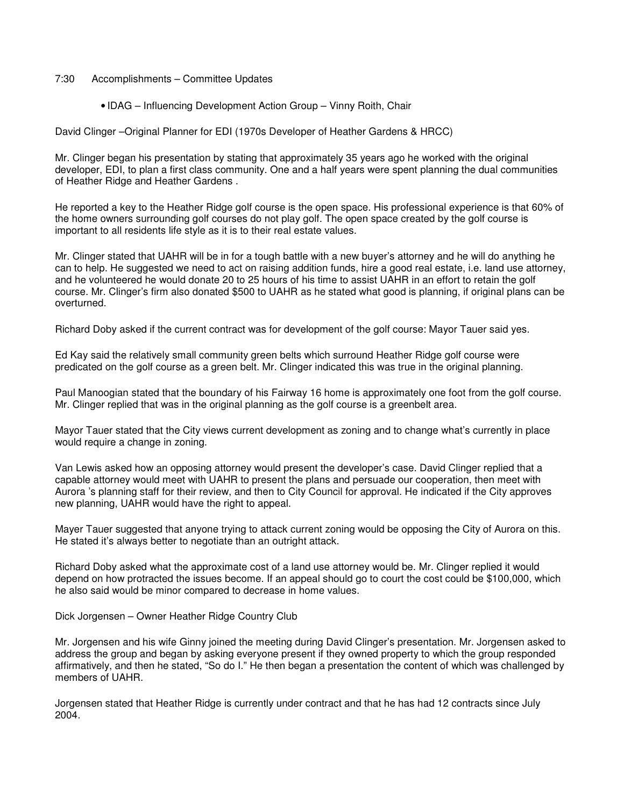### 7:30 Accomplishments – Committee Updates

• IDAG – Influencing Development Action Group – Vinny Roith, Chair

David Clinger –Original Planner for EDI (1970s Developer of Heather Gardens & HRCC)

Mr. Clinger began his presentation by stating that approximately 35 years ago he worked with the original developer, EDI, to plan a first class community. One and a half years were spent planning the dual communities of Heather Ridge and Heather Gardens .

He reported a key to the Heather Ridge golf course is the open space. His professional experience is that 60% of the home owners surrounding golf courses do not play golf. The open space created by the golf course is important to all residents life style as it is to their real estate values.

Mr. Clinger stated that UAHR will be in for a tough battle with a new buyer's attorney and he will do anything he can to help. He suggested we need to act on raising addition funds, hire a good real estate, i.e. land use attorney, and he volunteered he would donate 20 to 25 hours of his time to assist UAHR in an effort to retain the golf course. Mr. Clinger's firm also donated \$500 to UAHR as he stated what good is planning, if original plans can be overturned.

Richard Doby asked if the current contract was for development of the golf course: Mayor Tauer said yes.

Ed Kay said the relatively small community green belts which surround Heather Ridge golf course were predicated on the golf course as a green belt. Mr. Clinger indicated this was true in the original planning.

Paul Manoogian stated that the boundary of his Fairway 16 home is approximately one foot from the golf course. Mr. Clinger replied that was in the original planning as the golf course is a greenbelt area.

Mayor Tauer stated that the City views current development as zoning and to change what's currently in place would require a change in zoning.

Van Lewis asked how an opposing attorney would present the developer's case. David Clinger replied that a capable attorney would meet with UAHR to present the plans and persuade our cooperation, then meet with Aurora 's planning staff for their review, and then to City Council for approval. He indicated if the City approves new planning, UAHR would have the right to appeal.

Mayer Tauer suggested that anyone trying to attack current zoning would be opposing the City of Aurora on this. He stated it's always better to negotiate than an outright attack.

Richard Doby asked what the approximate cost of a land use attorney would be. Mr. Clinger replied it would depend on how protracted the issues become. If an appeal should go to court the cost could be \$100,000, which he also said would be minor compared to decrease in home values.

Dick Jorgensen – Owner Heather Ridge Country Club

Mr. Jorgensen and his wife Ginny joined the meeting during David Clinger's presentation. Mr. Jorgensen asked to address the group and began by asking everyone present if they owned property to which the group responded affirmatively, and then he stated, "So do I." He then began a presentation the content of which was challenged by members of UAHR.

Jorgensen stated that Heather Ridge is currently under contract and that he has had 12 contracts since July 2004.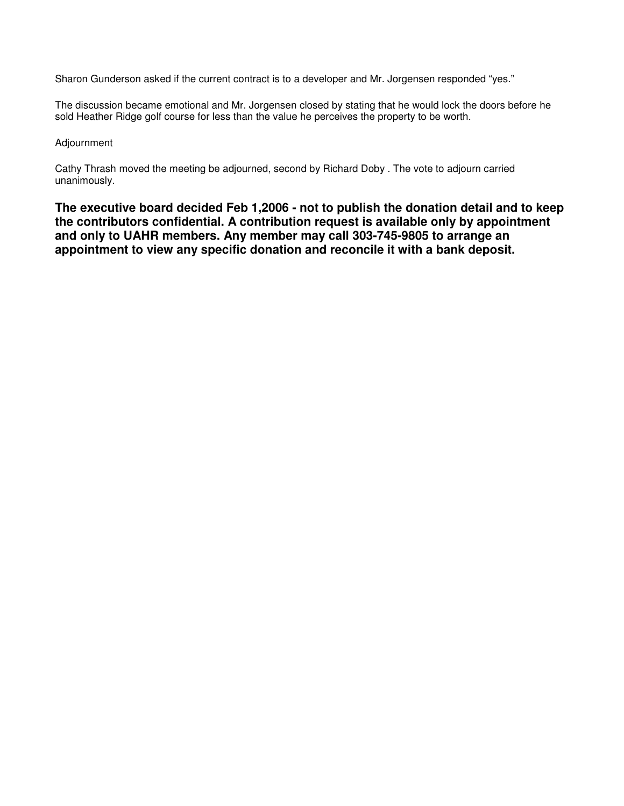Sharon Gunderson asked if the current contract is to a developer and Mr. Jorgensen responded "yes."

The discussion became emotional and Mr. Jorgensen closed by stating that he would lock the doors before he sold Heather Ridge golf course for less than the value he perceives the property to be worth.

### Adjournment

Cathy Thrash moved the meeting be adjourned, second by Richard Doby . The vote to adjourn carried unanimously.

**The executive board decided Feb 1,2006 - not to publish the donation detail and to keep the contributors confidential. A contribution request is available only by appointment and only to UAHR members. Any member may call 303-745-9805 to arrange an appointment to view any specific donation and reconcile it with a bank deposit.**